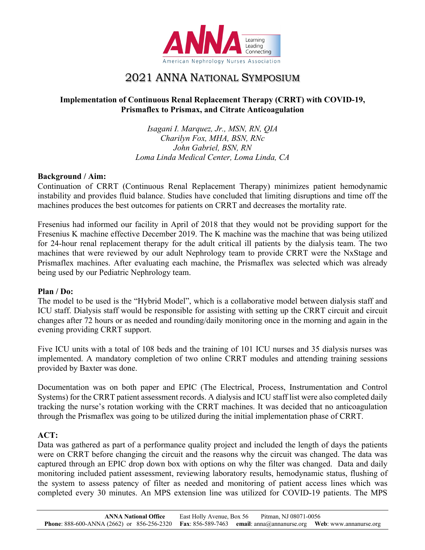

# 2021 ANNA NATIONAL SYMPOSIUM

## **Implementation of Continuous Renal Replacement Therapy (CRRT) with COVID-19, Prismaflex to Prismax, and Citrate Anticoagulation**

*Isagani I. Marquez, Jr., MSN, RN, QIA Charilyn Fox, MHA, BSN, RNc John Gabriel, BSN, RN Loma Linda Medical Center, Loma Linda, CA*

#### **Background / Aim:**

Continuation of CRRT (Continuous Renal Replacement Therapy) minimizes patient hemodynamic instability and provides fluid balance. Studies have concluded that limiting disruptions and time off the machines produces the best outcomes for patients on CRRT and decreases the mortality rate.

Fresenius had informed our facility in April of 2018 that they would not be providing support for the Fresenius K machine effective December 2019. The K machine was the machine that was being utilized for 24-hour renal replacement therapy for the adult critical ill patients by the dialysis team. The two machines that were reviewed by our adult Nephrology team to provide CRRT were the NxStage and Prismaflex machines. After evaluating each machine, the Prismaflex was selected which was already being used by our Pediatric Nephrology team.

#### **Plan / Do:**

The model to be used is the "Hybrid Model", which is a collaborative model between dialysis staff and ICU staff. Dialysis staff would be responsible for assisting with setting up the CRRT circuit and circuit changes after 72 hours or as needed and rounding/daily monitoring once in the morning and again in the evening providing CRRT support.

Five ICU units with a total of 108 beds and the training of 101 ICU nurses and 35 dialysis nurses was implemented. A mandatory completion of two online CRRT modules and attending training sessions provided by Baxter was done.

Documentation was on both paper and EPIC (The Electrical, Process, Instrumentation and Control Systems) for the CRRT patient assessment records. A dialysis and ICU staff list were also completed daily tracking the nurse's rotation working with the CRRT machines. It was decided that no anticoagulation through the Prismaflex was going to be utilized during the initial implementation phase of CRRT.

## **ACT:**

Data was gathered as part of a performance quality project and included the length of days the patients were on CRRT before changing the circuit and the reasons why the circuit was changed. The data was captured through an EPIC drop down box with options on why the filter was changed. Data and daily monitoring included patient assessment, reviewing laboratory results, hemodynamic status, flushing of the system to assess patency of filter as needed and monitoring of patient access lines which was completed every 30 minutes. An MPS extension line was utilized for COVID-19 patients. The MPS